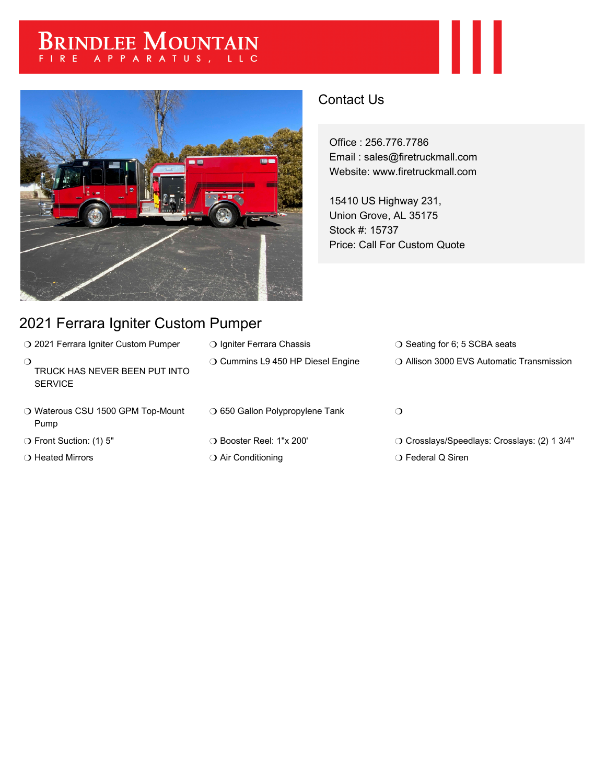## BRINDLEE MOUNTAIN



## 2021 Ferrara Igniter Custom Pumper

## Contact Us

Office : 256.776.7786 Email : sales@firetruckmall.com Website: www.firetruckmall.com

15410 US Highway 231, Union Grove, AL 35175 Stock #: 15737 Price: Call For Custom Quote

| ○ 2021 Ferrara Igniter Custom Pumper                        | ○ Igniter Ferrara Chassis         | $\bigcirc$ Seating for 6; 5 SCBA seats       |
|-------------------------------------------------------------|-----------------------------------|----------------------------------------------|
| $\Omega$<br>TRUCK HAS NEVER BEEN PUT INTO<br><b>SERVICE</b> | ○ Cummins L9 450 HP Diesel Engine | ○ Allison 3000 EVS Automatic Transmission    |
| ○ Waterous CSU 1500 GPM Top-Mount<br>Pump                   | ○ 650 Gallon Polypropylene Tank   | ◯                                            |
| ○ Front Suction: (1) 5"                                     | ○ Booster Reel: 1"x 200'          | O Crosslays/Speedlays: Crosslays: (2) 1 3/4" |
| ○ Heated Mirrors                                            | $\bigcirc$ Air Conditioning       | ○ Federal Q Siren                            |